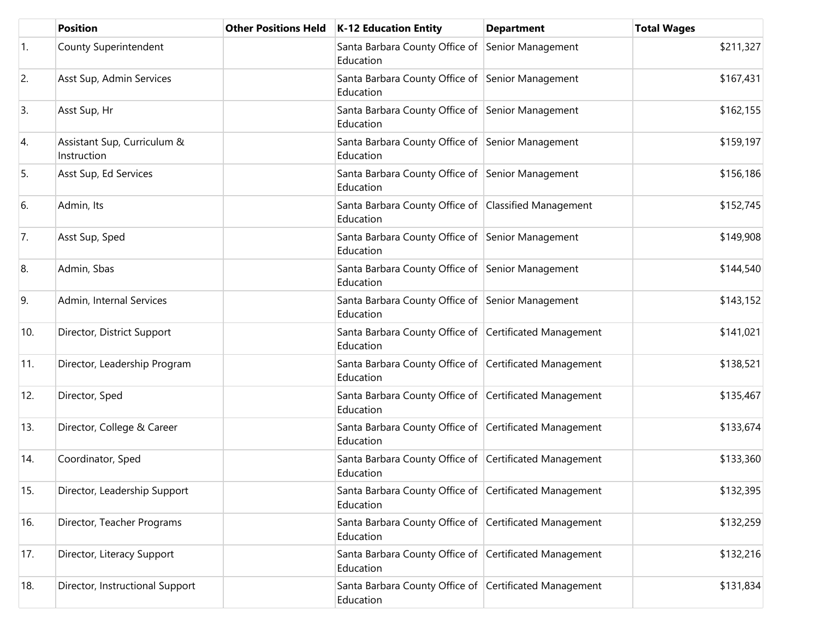|                  | <b>Position</b>                            | <b>Other Positions Held</b> | K-12 Education Entity                                               | <b>Department</b> | <b>Total Wages</b> |
|------------------|--------------------------------------------|-----------------------------|---------------------------------------------------------------------|-------------------|--------------------|
| $\overline{1}$ . | County Superintendent                      |                             | Santa Barbara County Office of<br>Education                         | Senior Management | \$211,327          |
| 2.               | Asst Sup, Admin Services                   |                             | Santa Barbara County Office of Senior Management<br>Education       |                   | \$167,431          |
| 3.               | Asst Sup, Hr                               |                             | Santa Barbara County Office of Senior Management<br>Education       |                   | \$162,155          |
| 4.               | Assistant Sup, Curriculum &<br>Instruction |                             | Santa Barbara County Office of Senior Management<br>Education       |                   | \$159,197          |
| 5.               | Asst Sup, Ed Services                      |                             | Santa Barbara County Office of Senior Management<br>Education       |                   | \$156,186          |
| 6.               | Admin, Its                                 |                             | Santa Barbara County Office of Classified Management<br>Education   |                   | \$152,745          |
| 7.               | Asst Sup, Sped                             |                             | Santa Barbara County Office of Senior Management<br>Education       |                   | \$149,908          |
| 8.               | Admin, Sbas                                |                             | Santa Barbara County Office of Senior Management<br>Education       |                   | \$144,540          |
| 9.               | Admin, Internal Services                   |                             | Santa Barbara County Office of Senior Management<br>Education       |                   | \$143,152          |
| 10.              | Director, District Support                 |                             | Santa Barbara County Office of Certificated Management<br>Education |                   | \$141,021          |
| 11.              | Director, Leadership Program               |                             | Santa Barbara County Office of Certificated Management<br>Education |                   | \$138,521          |
| 12.              | Director, Sped                             |                             | Santa Barbara County Office of Certificated Management<br>Education |                   | \$135,467          |
| 13.              | Director, College & Career                 |                             | Santa Barbara County Office of Certificated Management<br>Education |                   | \$133,674          |
| 14.              | Coordinator, Sped                          |                             | Santa Barbara County Office of Certificated Management<br>Education |                   | \$133,360          |
| 15.              | Director, Leadership Support               |                             | Santa Barbara County Office of Certificated Management<br>Education |                   | \$132,395          |
| 16.              | Director, Teacher Programs                 |                             | Santa Barbara County Office of Certificated Management<br>Education |                   | \$132,259          |
| 17.              | Director, Literacy Support                 |                             | Santa Barbara County Office of Certificated Management<br>Education |                   | \$132,216          |
| 18.              | Director, Instructional Support            |                             | Santa Barbara County Office of Certificated Management<br>Education |                   | \$131,834          |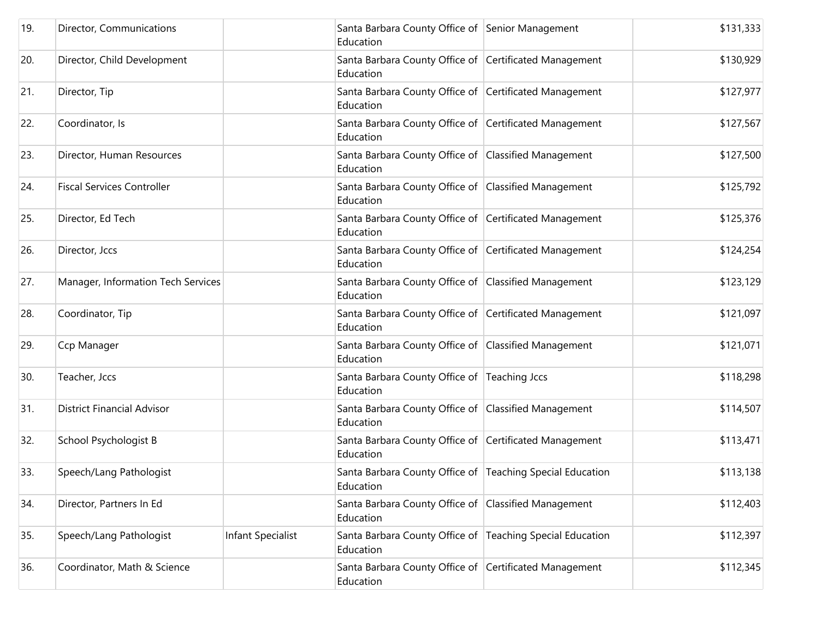| 19. | Director, Communications           |                          | Santa Barbara County Office of Senior Management<br>Education          | \$131,333 |
|-----|------------------------------------|--------------------------|------------------------------------------------------------------------|-----------|
| 20. | Director, Child Development        |                          | Santa Barbara County Office of Certificated Management<br>Education    | \$130,929 |
| 21. | Director, Tip                      |                          | Santa Barbara County Office of Certificated Management<br>Education    | \$127,977 |
| 22. | Coordinator, Is                    |                          | Santa Barbara County Office of Certificated Management<br>Education    | \$127,567 |
| 23. | Director, Human Resources          |                          | Santa Barbara County Office of Classified Management<br>Education      | \$127,500 |
| 24. | <b>Fiscal Services Controller</b>  |                          | Santa Barbara County Office of Classified Management<br>Education      | \$125,792 |
| 25. | Director, Ed Tech                  |                          | Santa Barbara County Office of Certificated Management<br>Education    | \$125,376 |
| 26. | Director, Jccs                     |                          | Santa Barbara County Office of Certificated Management<br>Education    | \$124,254 |
| 27. | Manager, Information Tech Services |                          | Santa Barbara County Office of Classified Management<br>Education      | \$123,129 |
| 28. | Coordinator, Tip                   |                          | Santa Barbara County Office of Certificated Management<br>Education    | \$121,097 |
| 29. | Ccp Manager                        |                          | Santa Barbara County Office of Classified Management<br>Education      | \$121,071 |
| 30. | Teacher, Jccs                      |                          | Santa Barbara County Office of Teaching Jccs<br>Education              | \$118,298 |
| 31. | <b>District Financial Advisor</b>  |                          | Santa Barbara County Office of Classified Management<br>Education      | \$114,507 |
| 32. | School Psychologist B              |                          | Santa Barbara County Office of Certificated Management<br>Education    | \$113,471 |
| 33. | Speech/Lang Pathologist            |                          | Santa Barbara County Office of Teaching Special Education<br>Education | \$113,138 |
| 34. | Director, Partners In Ed           |                          | Santa Barbara County Office of Classified Management<br>Education      | \$112,403 |
| 35. | Speech/Lang Pathologist            | <b>Infant Specialist</b> | Santa Barbara County Office of Teaching Special Education<br>Education | \$112,397 |
| 36. | Coordinator, Math & Science        |                          | Santa Barbara County Office of Certificated Management<br>Education    | \$112,345 |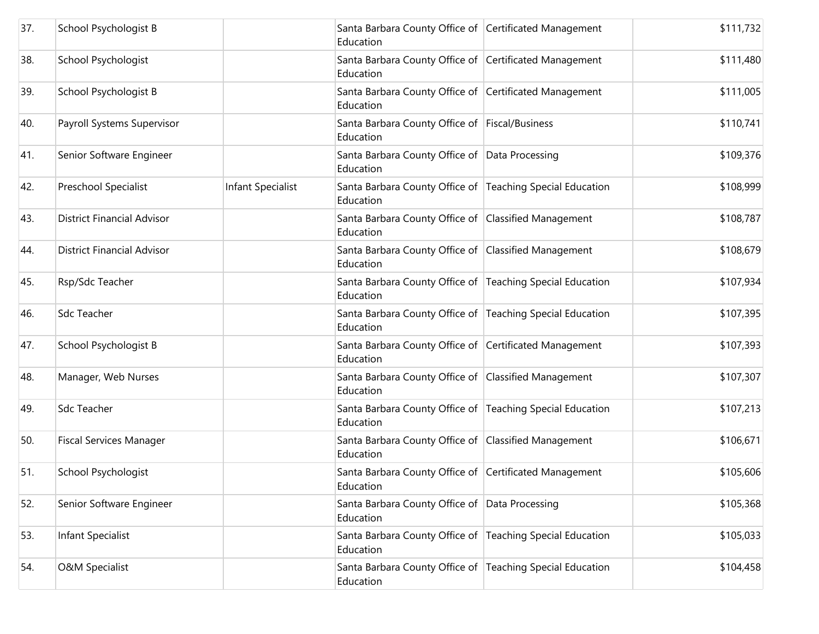| 37. | School Psychologist B             |                   | Santa Barbara County Office of Certificated Management<br>Education    | \$111,732 |
|-----|-----------------------------------|-------------------|------------------------------------------------------------------------|-----------|
| 38. | School Psychologist               |                   | Santa Barbara County Office of Certificated Management<br>Education    | \$111,480 |
| 39. | School Psychologist B             |                   | Santa Barbara County Office of Certificated Management<br>Education    | \$111,005 |
| 40. | Payroll Systems Supervisor        |                   | Santa Barbara County Office of Fiscal/Business<br>Education            | \$110,741 |
| 41. | Senior Software Engineer          |                   | Santa Barbara County Office of Data Processing<br>Education            | \$109,376 |
| 42. | Preschool Specialist              | Infant Specialist | Santa Barbara County Office of Teaching Special Education<br>Education | \$108,999 |
| 43. | <b>District Financial Advisor</b> |                   | Santa Barbara County Office of Classified Management<br>Education      | \$108,787 |
| 44. | <b>District Financial Advisor</b> |                   | Santa Barbara County Office of Classified Management<br>Education      | \$108,679 |
| 45. | Rsp/Sdc Teacher                   |                   | Santa Barbara County Office of Teaching Special Education<br>Education | \$107,934 |
| 46. | <b>Sdc Teacher</b>                |                   | Santa Barbara County Office of Teaching Special Education<br>Education | \$107,395 |
| 47. | School Psychologist B             |                   | Santa Barbara County Office of Certificated Management<br>Education    | \$107,393 |
| 48. | Manager, Web Nurses               |                   | Santa Barbara County Office of Classified Management<br>Education      | \$107,307 |
| 49. | <b>Sdc Teacher</b>                |                   | Santa Barbara County Office of Teaching Special Education<br>Education | \$107,213 |
| 50. | <b>Fiscal Services Manager</b>    |                   | Santa Barbara County Office of Classified Management<br>Education      | \$106,671 |
| 51. | School Psychologist               |                   | Santa Barbara County Office of Certificated Management<br>Education    | \$105,606 |
| 52. | Senior Software Engineer          |                   | Santa Barbara County Office of Data Processing<br>Education            | \$105,368 |
| 53. | Infant Specialist                 |                   | Santa Barbara County Office of Teaching Special Education<br>Education | \$105,033 |
| 54. | <b>O&amp;M Specialist</b>         |                   | Santa Barbara County Office of Teaching Special Education<br>Education | \$104,458 |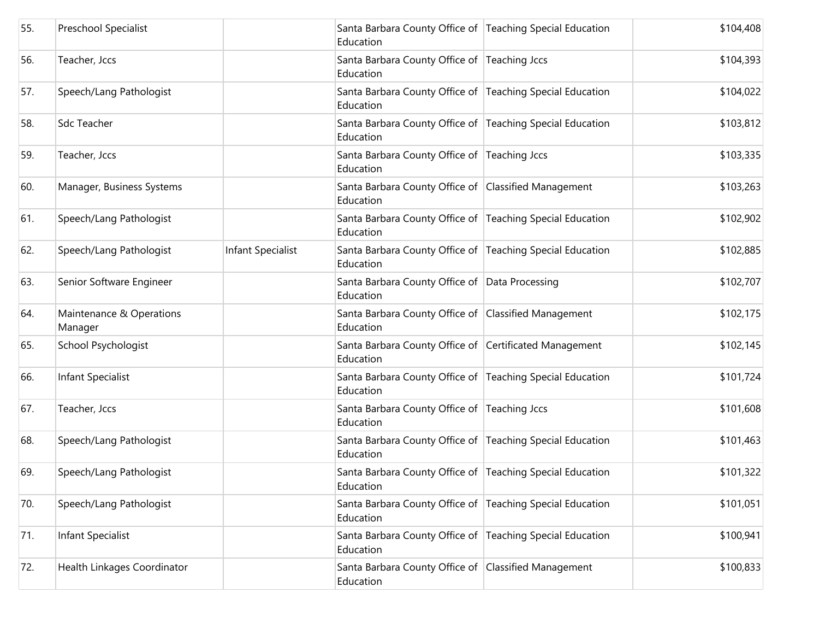| 55. | Preschool Specialist                |                          | Santa Barbara County Office of Teaching Special Education<br>Education | \$104,408 |
|-----|-------------------------------------|--------------------------|------------------------------------------------------------------------|-----------|
| 56. | Teacher, Jccs                       |                          | Santa Barbara County Office of Teaching Jccs<br>Education              | \$104,393 |
| 57. | Speech/Lang Pathologist             |                          | Santa Barbara County Office of Teaching Special Education<br>Education | \$104,022 |
| 58. | Sdc Teacher                         |                          | Santa Barbara County Office of Teaching Special Education<br>Education | \$103,812 |
| 59. | Teacher, Jccs                       |                          | Santa Barbara County Office of Teaching Jccs<br>Education              | \$103,335 |
| 60. | Manager, Business Systems           |                          | Santa Barbara County Office of Classified Management<br>Education      | \$103,263 |
| 61. | Speech/Lang Pathologist             |                          | Santa Barbara County Office of Teaching Special Education<br>Education | \$102,902 |
| 62. | Speech/Lang Pathologist             | <b>Infant Specialist</b> | Santa Barbara County Office of Teaching Special Education<br>Education | \$102,885 |
| 63. | Senior Software Engineer            |                          | Santa Barbara County Office of Data Processing<br>Education            | \$102,707 |
| 64. | Maintenance & Operations<br>Manager |                          | Santa Barbara County Office of Classified Management<br>Education      | \$102,175 |
| 65. | School Psychologist                 |                          | Santa Barbara County Office of Certificated Management<br>Education    | \$102,145 |
| 66. | Infant Specialist                   |                          | Santa Barbara County Office of Teaching Special Education<br>Education | \$101,724 |
| 67. | Teacher, Jccs                       |                          | Santa Barbara County Office of Teaching Jccs<br>Education              | \$101,608 |
| 68. | Speech/Lang Pathologist             |                          | Santa Barbara County Office of Teaching Special Education<br>Education | \$101,463 |
| 69. | Speech/Lang Pathologist             |                          | Santa Barbara County Office of Teaching Special Education<br>Education | \$101,322 |
| 70. | Speech/Lang Pathologist             |                          | Santa Barbara County Office of Teaching Special Education<br>Education | \$101,051 |
| 71. | Infant Specialist                   |                          | Santa Barbara County Office of Teaching Special Education<br>Education | \$100,941 |
| 72. | Health Linkages Coordinator         |                          | Santa Barbara County Office of Classified Management<br>Education      | \$100,833 |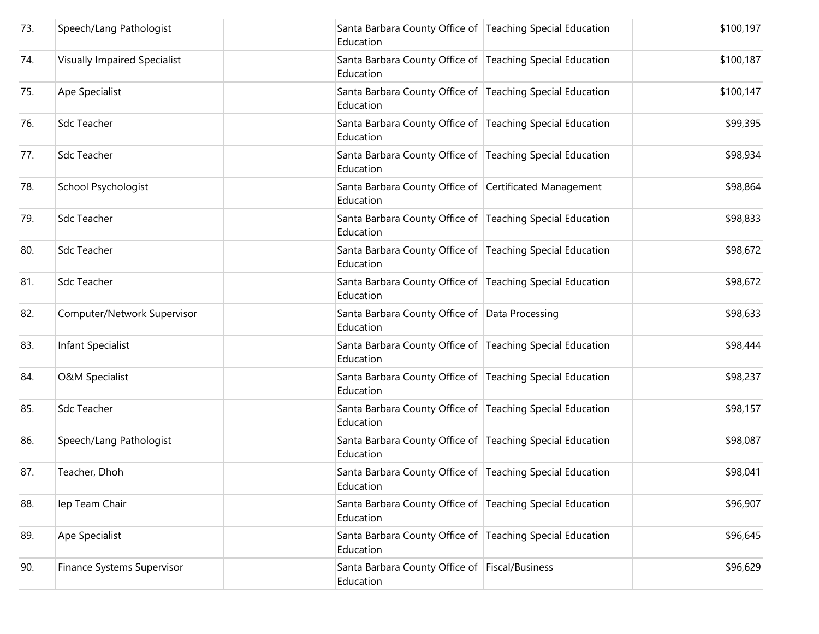| 73. | Speech/Lang Pathologist             | Santa Barbara County Office of Teaching Special Education<br>Education | \$100,197 |
|-----|-------------------------------------|------------------------------------------------------------------------|-----------|
| 74. | <b>Visually Impaired Specialist</b> | Santa Barbara County Office of Teaching Special Education<br>Education | \$100,187 |
| 75. | Ape Specialist                      | Santa Barbara County Office of Teaching Special Education<br>Education | \$100,147 |
| 76. | <b>Sdc Teacher</b>                  | Santa Barbara County Office of Teaching Special Education<br>Education | \$99,395  |
| 77. | <b>Sdc Teacher</b>                  | Santa Barbara County Office of Teaching Special Education<br>Education | \$98,934  |
| 78. | School Psychologist                 | Santa Barbara County Office of Certificated Management<br>Education    | \$98,864  |
| 79. | <b>Sdc Teacher</b>                  | Santa Barbara County Office of Teaching Special Education<br>Education | \$98,833  |
| 80. | <b>Sdc Teacher</b>                  | Santa Barbara County Office of Teaching Special Education<br>Education | \$98,672  |
| 81. | <b>Sdc Teacher</b>                  | Santa Barbara County Office of Teaching Special Education<br>Education | \$98,672  |
| 82. | Computer/Network Supervisor         | Santa Barbara County Office of Data Processing<br>Education            | \$98,633  |
| 83. | <b>Infant Specialist</b>            | Santa Barbara County Office of Teaching Special Education<br>Education | \$98,444  |
| 84. | <b>O&amp;M Specialist</b>           | Santa Barbara County Office of Teaching Special Education<br>Education | \$98,237  |
| 85. | <b>Sdc Teacher</b>                  | Santa Barbara County Office of Teaching Special Education<br>Education | \$98,157  |
| 86. | Speech/Lang Pathologist             | Santa Barbara County Office of Teaching Special Education<br>Education | \$98,087  |
| 87. | Teacher, Dhoh                       | Santa Barbara County Office of Teaching Special Education<br>Education | \$98,041  |
| 88. | lep Team Chair                      | Santa Barbara County Office of Teaching Special Education<br>Education | \$96,907  |
| 89. | Ape Specialist                      | Santa Barbara County Office of Teaching Special Education<br>Education | \$96,645  |
| 90. | Finance Systems Supervisor          | Santa Barbara County Office of Fiscal/Business<br>Education            | \$96,629  |